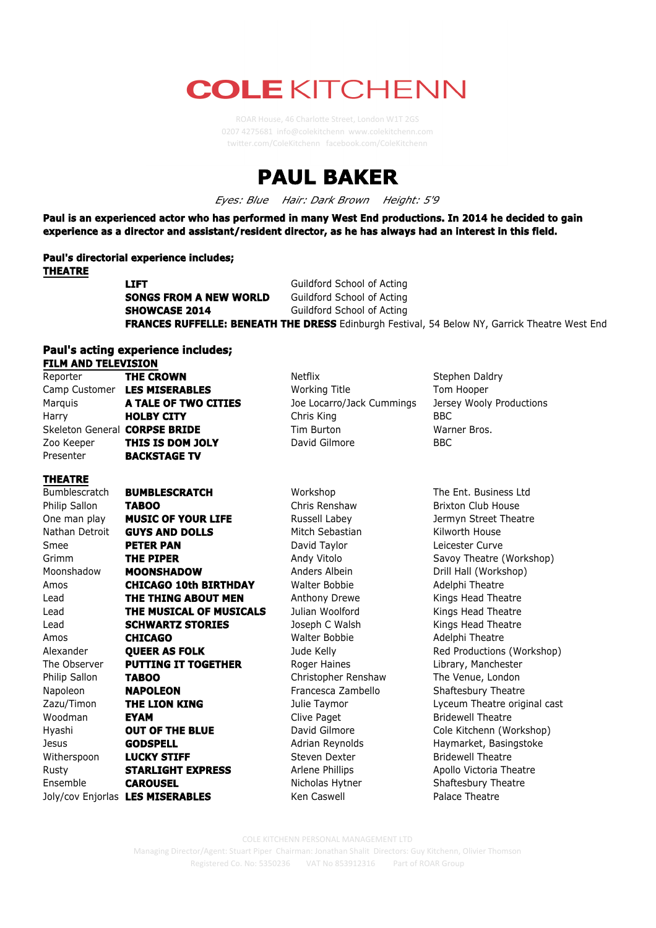## **COLE KITCHENN**

twi2er.com/ColeKitchenn facebook.com/ColeKitchenn



*Eyes: Blue Hair: Dark Brown Height: 5'9*

**Paul is an experienced actor who has performed in many West End productions. In 2014 he decided to gain experience as a director and assistant/resident director, as he has always had an interest in this field.**

**Paul's directorial experience includes; THEATRE**

**LIFT** Guildford School of Acting **SONGS FROM A NEW WORLD** Guildford School of Acting **SHOWCASE 2014** Guildford School of Acting **FRANCES RUFFELLE: BENEATH THE DRESS** Edinburgh Festival, 54 Below NY, Garrick Theatre West End

## **Paul's acting experience includes; FILM AND TELEVISION**

| LIFIL VIID TEPPATOIA |                               |                           |                          |
|----------------------|-------------------------------|---------------------------|--------------------------|
| Reporter             | <b>THE CROWN</b>              | Netflix                   | Stephen Daldry           |
|                      | Camp Customer LES MISERABLES  | <b>Working Title</b>      | Tom Hooper               |
| Marquis              | A TALE OF TWO CITIES          | Joe Locarro/Jack Cummings | Jersey Wooly Productions |
| Harry                | <b>HOLBY CITY</b>             | Chris King                | BBC.                     |
|                      | Skeleton General CORPSE BRIDE | Tim Burton                | Warner Bros.             |
| Zoo Keeper           | THIS IS DOM JOLY              | David Gilmore             | <b>BBC</b>               |
| Presenter            | <b>BACKSTAGE TV</b>           |                           |                          |
|                      |                               |                           |                          |

## **THEATRE**

Bumblescratch **BUMBLESCRATCH** Workshop The Ent. Business Ltd Philip Sallon **TABOO Chris Renshaw Brixton Club House** One man play **MUSIC OF YOUR LIFE** Russell Labey **Reserve Albeman** Jermyn Street Theatre Nathan Detroit **GUYS AND DOLLS** Mitch Sebastian Kilworth House Smee **PETER PAN David Taylor Curve** Leicester Curve Grimm **THE PIPER** Andy Vitolo Savoy Theatre (Workshop) Moonshadow **MOONSHADOW** Anders Albein Drill Hall (Workshop) Amos **CHICAGO 10th BIRTHDAY** Walter Bobbie Adelphi Theatre Lead **THE THING ABOUT MEN** Anthony Drewe **Kings Head Theatre** Lead **THE MUSICAL OF MUSICALS** Julian Woolford Kings Head Theatre Lead **SCHWARTZ STORIES** Joseph C Walsh Kings Head Theatre Amos **CHICAGO** Walter Bobbie Adelphi Theatre Alexander **QUEER AS FOLK** Jude Kelly **Red Productions (Workshop)** The Observer **PUTTING IT TOGETHER** Roger Haines Library, Manchester Philip Sallon **TABOO** Christopher Renshaw The Venue, London Napoleon **NAPOLEON** Francesca Zambello Shaftesbury Theatre Zazu/Timon **THE LION KING** Julie Taymor **Lyceum Theatre original cast** Woodman **EYAM Clive Paget** Bridewell Theatre Hyashi **OUT OF THE BLUE** David Gilmore Cole Kitchenn (Workshop) Jesus **GODSPELL** Adrian Reynolds Haymarket, Basingstoke Witherspoon **LUCKY STIFF** Steven Dexter Steven Dexter Bridewell Theatre Rusty **STARLIGHT EXPRESS** Arlene Phillips Apollo Victoria Theatre Ensemble **CAROUSEL** Nicholas Hytner Shaftesbury Theatre Joly/cov Enjorlas **LES MISERABLES** Ken Caswell **Palace Theatre** 

COLE KITCHENN PERSONAL MANAGEMENT LTD

Managing Director/Agent: Stuart Piper Chairman: Jonathan Shalit Directors: Guy Kitchenn, Olivier Thomson Registered Co. No: 5350236 VAT No 853912316 Part of ROAR Group